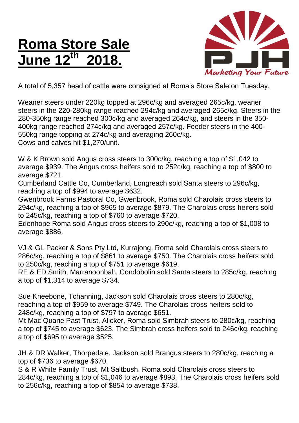## **Roma Store Sale June 12th 2018.**



A total of 5,357 head of cattle were consigned at Roma's Store Sale on Tuesday.

Weaner steers under 220kg topped at 296c/kg and averaged 265c/kg, weaner steers in the 220-280kg range reached 294c/kg and averaged 265c/kg. Steers in the 280-350kg range reached 300c/kg and averaged 264c/kg, and steers in the 350- 400kg range reached 274c/kg and averaged 257c/kg. Feeder steers in the 400- 550kg range topping at 274c/kg and averaging 260c/kg. Cows and calves hit \$1,270/unit.

W & K Brown sold Angus cross steers to 300c/kg, reaching a top of \$1,042 to average \$939. The Angus cross heifers sold to 252c/kg, reaching a top of \$800 to average \$721.

Cumberland Cattle Co, Cumberland, Longreach sold Santa steers to 296c/kg, reaching a top of \$994 to average \$632.

Gwenbrook Farms Pastoral Co, Gwenbrook, Roma sold Charolais cross steers to 294c/kg, reaching a top of \$965 to average \$879. The Charolais cross heifers sold to 245c/kg, reaching a top of \$760 to average \$720.

Edenhope Roma sold Angus cross steers to 290c/kg, reaching a top of \$1,008 to average \$886.

VJ & GL Packer & Sons Pty Ltd, Kurrajong, Roma sold Charolais cross steers to 286c/kg, reaching a top of \$861 to average \$750. The Charolais cross heifers sold to 250c/kg, reaching a top of \$751 to average \$619.

RE & ED Smith, Marranoonbah, Condobolin sold Santa steers to 285c/kg, reaching a top of \$1,314 to average \$734.

Sue Kneebone, Tchanning, Jackson sold Charolais cross steers to 280c/kg, reaching a top of \$959 to average \$749. The Charolais cross heifers sold to 248c/kg, reaching a top of \$797 to average \$651.

Mt Mac Quarie Past Trust, Alicker, Roma sold Simbrah steers to 280c/kg, reaching a top of \$745 to average \$623. The Simbrah cross heifers sold to 246c/kg, reaching a top of \$695 to average \$525.

JH & DR Walker, Thorpedale, Jackson sold Brangus steers to 280c/kg, reaching a top of \$736 to average \$670.

S & R White Family Trust, Mt Saltbush, Roma sold Charolais cross steers to 284c/kg, reaching a top of \$1,046 to average \$893. The Charolais cross heifers sold to 256c/kg, reaching a top of \$854 to average \$738.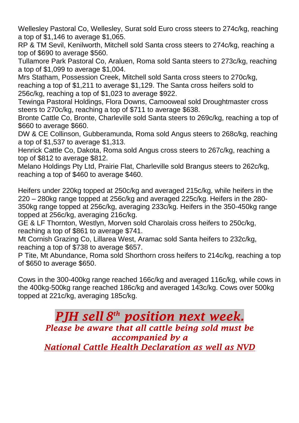Wellesley Pastoral Co, Wellesley, Surat sold Euro cross steers to 274c/kg, reaching a top of \$1,146 to average \$1,065.

RP & TM Sevil, Kenilworth, Mitchell sold Santa cross steers to 274c/kg, reaching a top of \$690 to average \$560.

Tullamore Park Pastoral Co, Araluen, Roma sold Santa steers to 273c/kg, reaching a top of \$1,099 to average \$1,004.

Mrs Statham, Possession Creek, Mitchell sold Santa cross steers to 270c/kg, reaching a top of \$1,211 to average \$1,129. The Santa cross heifers sold to 256c/kg, reaching a top of \$1,023 to average \$922.

Tewinga Pastoral Holdings, Flora Downs, Camooweal sold Droughtmaster cross steers to 270c/kg, reaching a top of \$711 to average \$638.

Bronte Cattle Co, Bronte, Charleville sold Santa steers to 269c/kg, reaching a top of \$660 to average \$660.

DW & CE Collinson, Gubberamunda, Roma sold Angus steers to 268c/kg, reaching a top of \$1,537 to average \$1,313.

Henrick Cattle Co, Dakota, Roma sold Angus cross steers to 267c/kg, reaching a top of \$812 to average \$812.

Melano Holdings Pty Ltd, Prairie Flat, Charleville sold Brangus steers to 262c/kg, reaching a top of \$460 to average \$460.

Heifers under 220kg topped at 250c/kg and averaged 215c/kg, while heifers in the 220 – 280kg range topped at 256c/kg and averaged 225c/kg. Heifers in the 280- 350kg range topped at 256c/kg, averaging 233c/kg. Heifers in the 350-450kg range topped at 256c/kg, averaging 216c/kg.

GE & LF Thornton, Westlyn, Morven sold Charolais cross heifers to 250c/kg, reaching a top of \$861 to average \$741.

Mt Cornish Grazing Co, Lillarea West, Aramac sold Santa heifers to 232c/kg, reaching a top of \$738 to average \$657.

P Tite, Mt Abundance, Roma sold Shorthorn cross heifers to 214c/kg, reaching a top of \$650 to average \$650.

Cows in the 300-400kg range reached 166c/kg and averaged 116c/kg, while cows in the 400kg-500kg range reached 186c/kg and averaged 143c/kg. Cows over 500kg topped at 221c/kg, averaging 185c/kg.

## *PJH sell 8 th position next week.*

*Please be aware that all cattle being sold must be accompanied by a* 

*National Cattle Health Declaration as well as NVD*